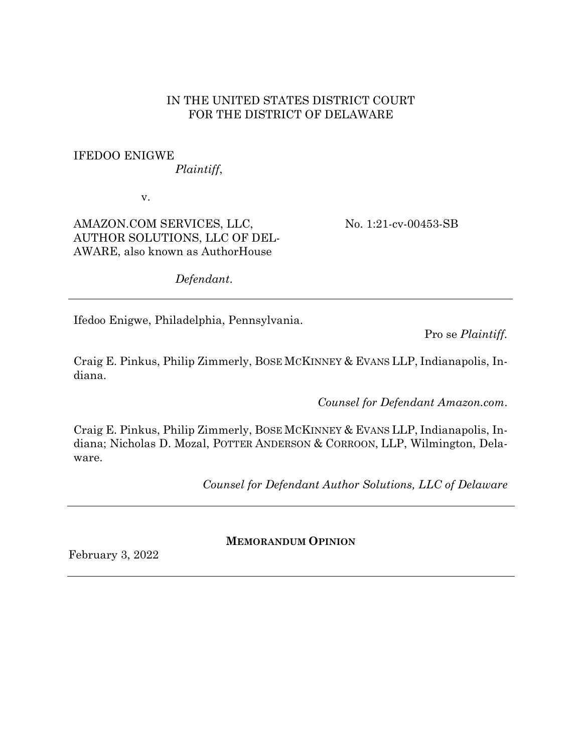### IN THE UNITED STATES DISTRICT COURT FOR THE DISTRICT OF DELAWARE

# IFEDOO ENIGWE

*Plaintiff*,

v.

AMAZON.COM SERVICES, LLC, AUTHOR SOLUTIONS, LLC OF DEL-AWARE, also known as AuthorHouse

No. 1:21-cv-00453-SB

*Defendant*.

Ifedoo Enigwe, Philadelphia, Pennsylvania.

Pro se *Plaintiff.*

Craig E. Pinkus, Philip Zimmerly, BOSE MCKINNEY & EVANS LLP, Indianapolis, Indiana.

*Counsel for Defendant Amazon.com*.

Craig E. Pinkus, Philip Zimmerly, BOSE MCKINNEY & EVANS LLP, Indianapolis, Indiana; Nicholas D. Mozal, POTTER ANDERSON & CORROON, LLP, Wilmington, Delaware.

*Counsel for Defendant Author Solutions, LLC of Delaware*

February 3, 2022

**MEMORANDUM OPINION**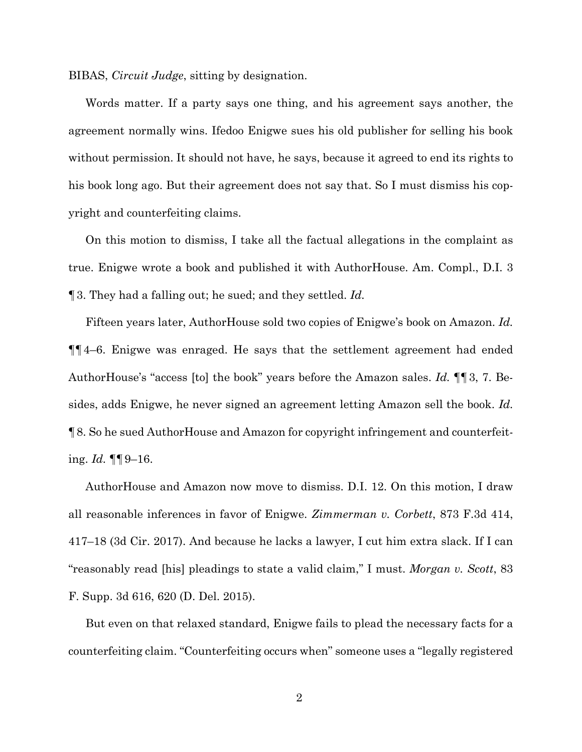BIBAS, *Circuit Judge*, sitting by designation.

Words matter. If a party says one thing, and his agreement says another, the agreement normally wins. Ifedoo Enigwe sues his old publisher for selling his book without permission. It should not have, he says, because it agreed to end its rights to his book long ago. But their agreement does not say that. So I must dismiss his copyright and counterfeiting claims.

On this motion to dismiss, I take all the factual allegations in the complaint as true. Enigwe wrote a book and published it with AuthorHouse. Am. Compl., D.I. 3 ¶3. They had a falling out; he sued; and they settled. *Id.*

Fifteen years later, AuthorHouse sold two copies of Enigwe's book on Amazon. *Id.* ¶¶4–6. Enigwe was enraged. He says that the settlement agreement had ended AuthorHouse's "access [to] the book" years before the Amazon sales. *Id.* ¶¶3, 7. Besides, adds Enigwe, he never signed an agreement letting Amazon sell the book. *Id.* ¶8. So he sued AuthorHouse and Amazon for copyright infringement and counterfeiting. *Id.* ¶¶9–16.

AuthorHouse and Amazon now move to dismiss. D.I. 12. On this motion, I draw all reasonable inferences in favor of Enigwe. *Zimmerman v. Corbett*, 873 F.3d 414, 417–18 (3d Cir. 2017). And because he lacks a lawyer, I cut him extra slack. If I can "reasonably read [his] pleadings to state a valid claim," I must. *Morgan v. Scott*, 83 F. Supp. 3d 616, 620 (D. Del. 2015).

But even on that relaxed standard, Enigwe fails to plead the necessary facts for a counterfeiting claim. "Counterfeiting occurs when" someone uses a "legally registered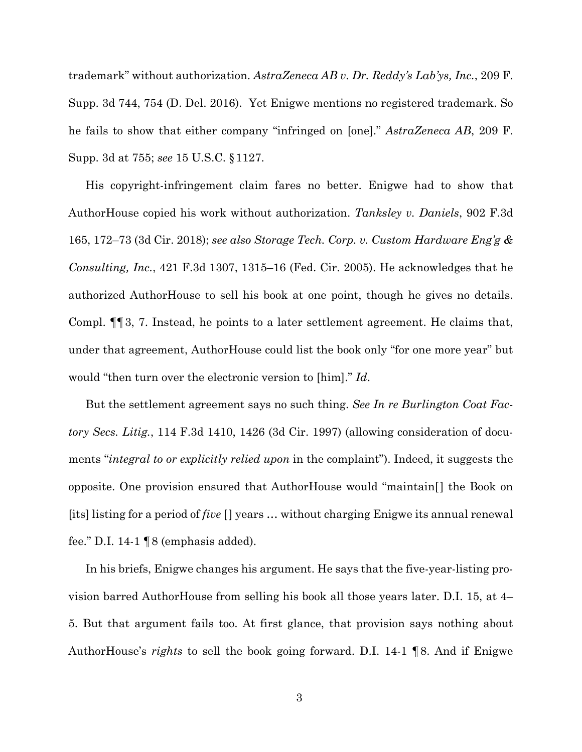trademark" without authorization. *AstraZeneca AB v. Dr. Reddy's Lab'ys, Inc.*, 209 F. Supp. 3d 744, 754 (D. Del. 2016). Yet Enigwe mentions no registered trademark. So he fails to show that either company "infringed on [one]." *AstraZeneca AB*, 209 F. Supp. 3d at 755; *see* 15 U.S.C. §1127.

His copyright-infringement claim fares no better. Enigwe had to show that AuthorHouse copied his work without authorization. *Tanksley v. Daniels*, 902 F.3d 165, 172–73 (3d Cir. 2018); *see also Storage Tech. Corp. v. Custom Hardware Eng'g & Consulting, Inc.*, 421 F.3d 1307, 1315–16 (Fed. Cir. 2005). He acknowledges that he authorized AuthorHouse to sell his book at one point, though he gives no details. Compl. ¶¶3, 7. Instead, he points to a later settlement agreement. He claims that, under that agreement, AuthorHouse could list the book only "for one more year" but would "then turn over the electronic version to [him]." *Id*.

But the settlement agreement says no such thing. *See In re Burlington Coat Factory Secs. Litig.*, 114 F.3d 1410, 1426 (3d Cir. 1997) (allowing consideration of documents "*integral to or explicitly relied upon* in the complaint"). Indeed, it suggests the opposite. One provision ensured that AuthorHouse would "maintain[] the Book on [its] listing for a period of *five* [] years … without charging Enigwe its annual renewal fee." D.I. 14-1  $\P 8$  (emphasis added).

In his briefs, Enigwe changes his argument. He says that the five-year-listing provision barred AuthorHouse from selling his book all those years later. D.I. 15, at 4– 5. But that argument fails too. At first glance, that provision says nothing about AuthorHouse's *rights* to sell the book going forward. D.I. 14-1 ¶8. And if Enigwe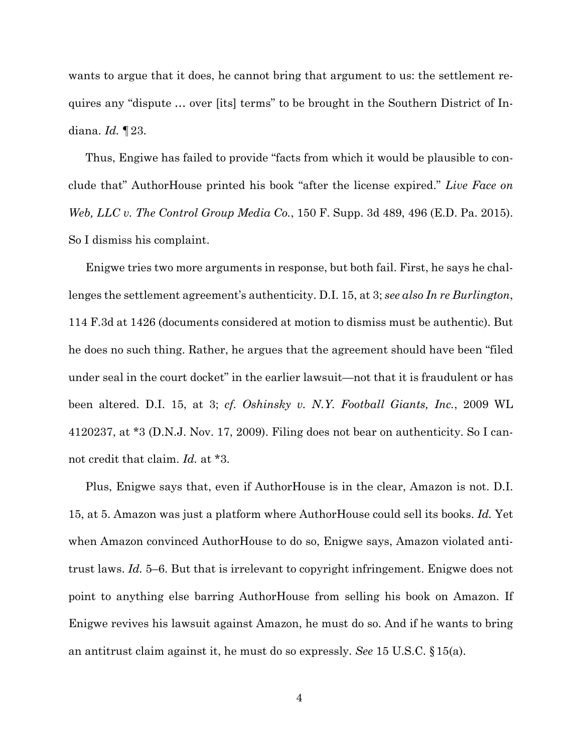wants to argue that it does, he cannot bring that argument to us: the settlement requires any "dispute … over [its] terms" to be brought in the Southern District of Indiana. *Id.* ¶23.

Thus, Engiwe has failed to provide "facts from which it would be plausible to conclude that" AuthorHouse printed his book "after the license expired." *Live Face on Web, LLC v. The Control Group Media Co.*, 150 F. Supp. 3d 489, 496 (E.D. Pa. 2015). So I dismiss his complaint.

Enigwe tries two more arguments in response, but both fail. First, he says he challenges the settlement agreement's authenticity. D.I. 15, at 3; *see also In re Burlington*, 114 F.3d at 1426 (documents considered at motion to dismiss must be authentic). But he does no such thing. Rather, he argues that the agreement should have been "filed under seal in the court docket" in the earlier lawsuit—not that it is fraudulent or has been altered. D.I. 15, at 3; *cf. Oshinsky v. N.Y. Football Giants, Inc.*, 2009 WL 4120237, at \*3 (D.N.J. Nov. 17, 2009). Filing does not bear on authenticity. So I cannot credit that claim. *Id.* at \*3.

Plus, Enigwe says that, even if AuthorHouse is in the clear, Amazon is not. D.I. 15, at 5. Amazon was just a platform where AuthorHouse could sell its books. *Id.* Yet when Amazon convinced AuthorHouse to do so, Enigwe says, Amazon violated antitrust laws. *Id.* 5–6. But that is irrelevant to copyright infringement. Enigwe does not point to anything else barring AuthorHouse from selling his book on Amazon. If Enigwe revives his lawsuit against Amazon, he must do so. And if he wants to bring an antitrust claim against it, he must do so expressly. *See* 15 U.S.C. §15(a).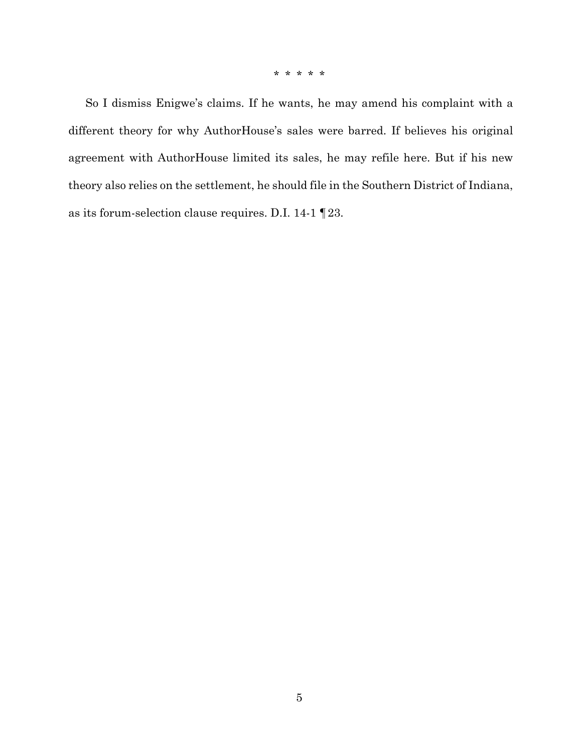\* \* \* \* \*

So I dismiss Enigwe's claims. If he wants, he may amend his complaint with a different theory for why AuthorHouse's sales were barred. If believes his original agreement with AuthorHouse limited its sales, he may refile here. But if his new theory also relies on the settlement, he should file in the Southern District of Indiana, as its forum-selection clause requires. D.I. 14-1 ¶23.